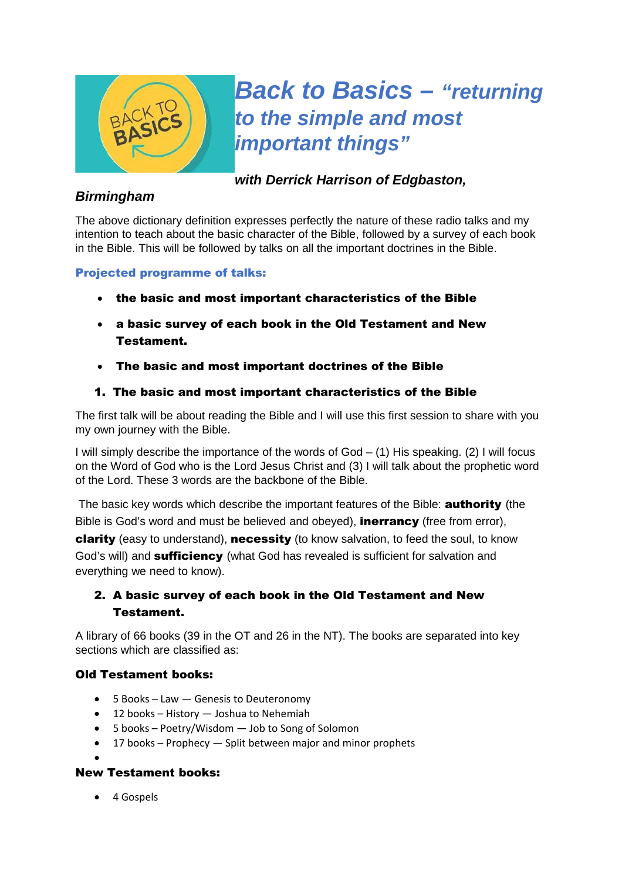

# *Back to Basics – "returning to the simple and most important things"*

*with Derrick Harrison of Edgbaston,* 

## *Birmingham*

The above dictionary definition expresses perfectly the nature of these radio talks and my intention to teach about the basic character of the Bible, followed by a survey of each book in the Bible. This will be followed by talks on all the important doctrines in the Bible.

## Projected programme of talks:

- the basic and most important characteristics of the Bible
- a basic survey of each book in the Old Testament and New Testament.
- The basic and most important doctrines of the Bible

## 1. The basic and most important characteristics of the Bible

The first talk will be about reading the Bible and I will use this first session to share with you my own journey with the Bible.

I will simply describe the importance of the words of  $God - (1)$  His speaking. (2) I will focus on the Word of God who is the Lord Jesus Christ and (3) I will talk about the prophetic word of the Lord. These 3 words are the backbone of the Bible.

The basic key words which describe the important features of the Bible: **authority** (the Bible is God's word and must be believed and obeyed), **inerrancy** (free from error), clarity (easy to understand), necessity (to know salvation, to feed the soul, to know God's will) and **sufficiency** (what God has revealed is sufficient for salvation and everything we need to know).

# 2. A basic survey of each book in the Old Testament and New Testament.

A library of 66 books (39 in the OT and 26 in the NT). The books are separated into key sections which are classified as:

### Old Testament books:

- 5 Books Law Genesis to Deuteronomy
- 12 books History Joshua to Nehemiah
- 5 books Poetry/Wisdom Job to Song of Solomon
- 17 books Prophecy Split between major and minor prophets
- $\bullet$

### New Testament books:

• 4 Gospels